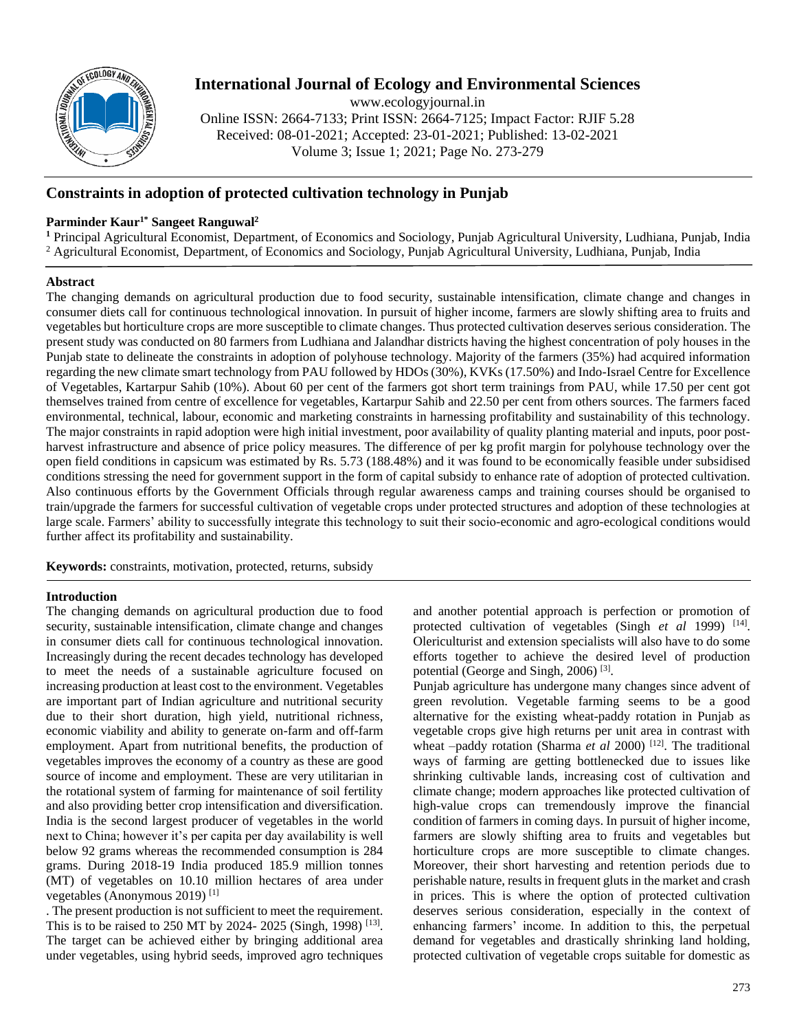

# **International Journal of Ecology and Environmental Sciences**

www.ecologyjournal.in

Online ISSN: 2664-7133; Print ISSN: 2664-7125; Impact Factor: RJIF 5.28 Received: 08-01-2021; Accepted: 23-01-2021; Published: 13-02-2021 Volume 3; Issue 1; 2021; Page No. 273-279

## **Constraints in adoption of protected cultivation technology in Punjab**

### **Parminder Kaur1\* Sangeet Ranguwal<sup>2</sup>**

**<sup>1</sup>** Principal Agricultural Economist, Department, of Economics and Sociology, Punjab Agricultural University, Ludhiana, Punjab, India <sup>2</sup> Agricultural Economist, Department, of Economics and Sociology, Punjab Agricultural University, Ludhiana, Punjab, India

### **Abstract**

The changing demands on agricultural production due to food security, sustainable intensification, climate change and changes in consumer diets call for continuous technological innovation. In pursuit of higher income, farmers are slowly shifting area to fruits and vegetables but horticulture crops are more susceptible to climate changes. Thus protected cultivation deserves serious consideration. The present study was conducted on 80 farmers from Ludhiana and Jalandhar districts having the highest concentration of poly houses in the Punjab state to delineate the constraints in adoption of polyhouse technology. Majority of the farmers (35%) had acquired information regarding the new climate smart technology from PAU followed by HDOs (30%), KVKs (17.50%) and Indo-Israel Centre for Excellence of Vegetables, Kartarpur Sahib (10%). About 60 per cent of the farmers got short term trainings from PAU, while 17.50 per cent got themselves trained from centre of excellence for vegetables, Kartarpur Sahib and 22.50 per cent from others sources. The farmers faced environmental, technical, labour, economic and marketing constraints in harnessing profitability and sustainability of this technology. The major constraints in rapid adoption were high initial investment, poor availability of quality planting material and inputs, poor postharvest infrastructure and absence of price policy measures. The difference of per kg profit margin for polyhouse technology over the open field conditions in capsicum was estimated by Rs. 5.73 (188.48%) and it was found to be economically feasible under subsidised conditions stressing the need for government support in the form of capital subsidy to enhance rate of adoption of protected cultivation. Also continuous efforts by the Government Officials through regular awareness camps and training courses should be organised to train/upgrade the farmers for successful cultivation of vegetable crops under protected structures and adoption of these technologies at large scale. Farmers' ability to successfully integrate this technology to suit their socio-economic and agro-ecological conditions would further affect its profitability and sustainability.

**Keywords:** constraints, motivation, protected, returns, subsidy

### **Introduction**

The changing demands on agricultural production due to food security, sustainable intensification, climate change and changes in consumer diets call for continuous technological innovation. Increasingly during the recent decades technology has developed to meet the needs of a sustainable agriculture focused on increasing production at least cost to the environment. Vegetables are important part of Indian agriculture and nutritional security due to their short duration, high yield, nutritional richness, economic viability and ability to generate on-farm and off-farm employment. Apart from nutritional benefits, the production of vegetables improves the economy of a country as these are good source of income and employment. These are very utilitarian in the rotational system of farming for maintenance of soil fertility and also providing better crop intensification and diversification. India is the second largest producer of vegetables in the world next to China; however it's per capita per day availability is well below 92 grams whereas the recommended consumption is 284 grams. During 2018-19 India produced 185.9 million tonnes (MT) of vegetables on 10.10 million hectares of area under vegetables (Anonymous 2019) [1]

. The present production is not sufficient to meet the requirement. This is to be raised to 250 MT by 2024-2025 (Singh, 1998)<sup>[13]</sup>. The target can be achieved either by bringing additional area under vegetables, using hybrid seeds, improved agro techniques

and another potential approach is perfection or promotion of protected cultivation of vegetables (Singh *et al* 1999)<sup>[14]</sup>. Olericulturist and extension specialists will also have to do some efforts together to achieve the desired level of production potential (George and Singh, 2006)<sup>[3]</sup>.

Punjab agriculture has undergone many changes since advent of green revolution. Vegetable farming seems to be a good alternative for the existing wheat-paddy rotation in Punjab as vegetable crops give high returns per unit area in contrast with wheat –paddy rotation (Sharma *et al* 2000)<sup>[12]</sup>. The traditional ways of farming are getting bottlenecked due to issues like shrinking cultivable lands, increasing cost of cultivation and climate change; modern approaches like protected cultivation of high-value crops can tremendously improve the financial condition of farmers in coming days. In pursuit of higher income, farmers are slowly shifting area to fruits and vegetables but horticulture crops are more susceptible to climate changes. Moreover, their short harvesting and retention periods due to perishable nature, results in frequent gluts in the market and crash in prices. This is where the option of protected cultivation deserves serious consideration, especially in the context of enhancing farmers' income. In addition to this, the perpetual demand for vegetables and drastically shrinking land holding, protected cultivation of vegetable crops suitable for domestic as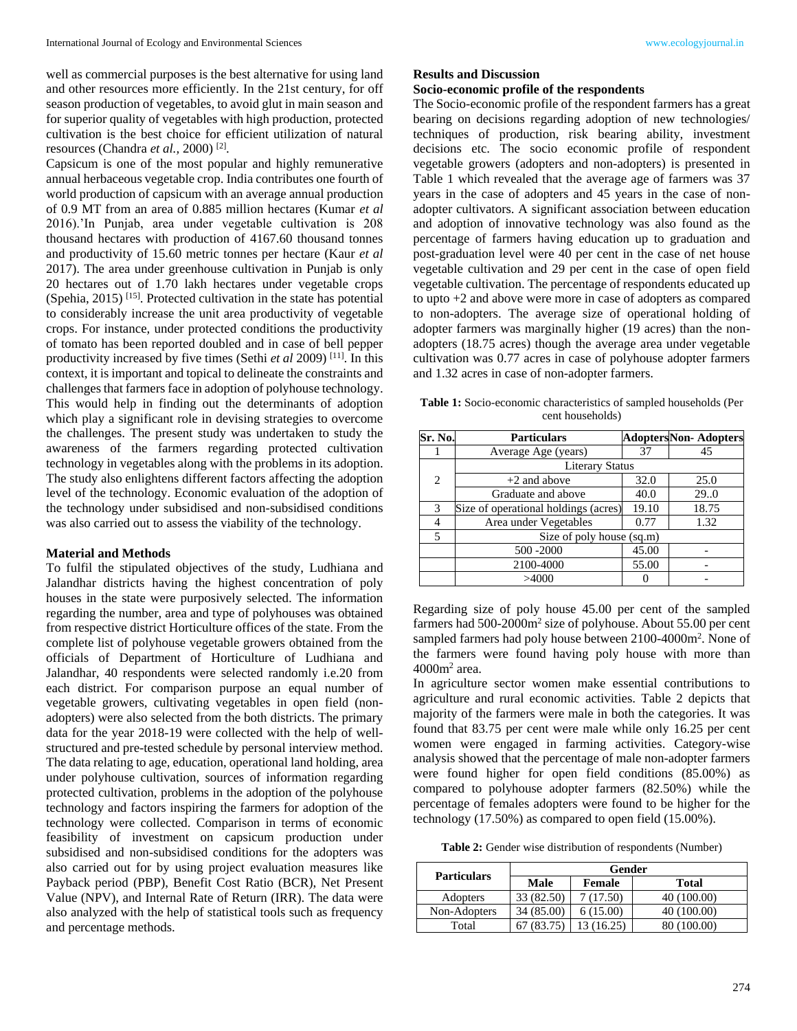well as commercial purposes is the best alternative for using land and other resources more efficiently. In the 21st century, for off season production of vegetables, to avoid glut in main season and for superior quality of vegetables with high production, protected cultivation is the best choice for efficient utilization of natural resources (Chandra *et al.,* 2000) [2] .

Capsicum is one of the most popular and highly remunerative annual herbaceous vegetable crop. India contributes one fourth of world production of capsicum with an average annual production of 0.9 MT from an area of 0.885 million hectares (Kumar *et al* 2016).'In Punjab, area under vegetable cultivation is 208 thousand hectares with production of 4167.60 thousand tonnes and productivity of 15.60 metric tonnes per hectare (Kaur *et al*  2017). The area under greenhouse cultivation in Punjab is only 20 hectares out of 1.70 lakh hectares under vegetable crops (Spehia, 2015)<sup>[15]</sup>. Protected cultivation in the state has potential to considerably increase the unit area productivity of vegetable crops. For instance, under protected conditions the productivity of tomato has been reported doubled and in case of bell pepper productivity increased by five times (Sethi *et al 2009*)<sup>[11]</sup>. In this context, it is important and topical to delineate the constraints and challenges that farmers face in adoption of polyhouse technology. This would help in finding out the determinants of adoption which play a significant role in devising strategies to overcome the challenges. The present study was undertaken to study the awareness of the farmers regarding protected cultivation technology in vegetables along with the problems in its adoption. The study also enlightens different factors affecting the adoption level of the technology. Economic evaluation of the adoption of the technology under subsidised and non-subsidised conditions was also carried out to assess the viability of the technology.

#### **Material and Methods**

To fulfil the stipulated objectives of the study, Ludhiana and Jalandhar districts having the highest concentration of poly houses in the state were purposively selected. The information regarding the number, area and type of polyhouses was obtained from respective district Horticulture offices of the state. From the complete list of polyhouse vegetable growers obtained from the officials of Department of Horticulture of Ludhiana and Jalandhar, 40 respondents were selected randomly i.e.20 from each district. For comparison purpose an equal number of vegetable growers, cultivating vegetables in open field (nonadopters) were also selected from the both districts. The primary data for the year 2018-19 were collected with the help of wellstructured and pre-tested schedule by personal interview method. The data relating to age, education, operational land holding, area under polyhouse cultivation, sources of information regarding protected cultivation, problems in the adoption of the polyhouse technology and factors inspiring the farmers for adoption of the technology were collected. Comparison in terms of economic feasibility of investment on capsicum production under subsidised and non-subsidised conditions for the adopters was also carried out for by using project evaluation measures like Payback period (PBP), Benefit Cost Ratio (BCR), Net Present Value (NPV), and Internal Rate of Return (IRR). The data were also analyzed with the help of statistical tools such as frequency and percentage methods.

#### **Results and Discussion**

### **Socio-economic profile of the respondents**

The Socio-economic profile of the respondent farmers has a great bearing on decisions regarding adoption of new technologies/ techniques of production, risk bearing ability, investment decisions etc. The socio economic profile of respondent vegetable growers (adopters and non-adopters) is presented in Table 1 which revealed that the average age of farmers was 37 years in the case of adopters and 45 years in the case of nonadopter cultivators. A significant association between education and adoption of innovative technology was also found as the percentage of farmers having education up to graduation and post-graduation level were 40 per cent in the case of net house vegetable cultivation and 29 per cent in the case of open field vegetable cultivation. The percentage of respondents educated up to upto +2 and above were more in case of adopters as compared to non-adopters. The average size of operational holding of adopter farmers was marginally higher (19 acres) than the nonadopters (18.75 acres) though the average area under vegetable cultivation was 0.77 acres in case of polyhouse adopter farmers and 1.32 acres in case of non-adopter farmers.

**Table 1:** Socio-economic characteristics of sampled households (Per cent households)

| Sr. No.        | <b>Particulars</b>                   |       | <b>AdoptersNon-Adopters</b> |  |  |  |
|----------------|--------------------------------------|-------|-----------------------------|--|--|--|
|                | Average Age (years)                  | 37    | 45                          |  |  |  |
|                | <b>Literary Status</b>               |       |                             |  |  |  |
| $\overline{c}$ | $+2$ and above                       | 32.0  | 25.0                        |  |  |  |
|                | Graduate and above                   | 40.0  | 29.0                        |  |  |  |
| 3              | Size of operational holdings (acres) | 19.10 | 18.75                       |  |  |  |
| 4              | Area under Vegetables                | 0.77  | 1.32                        |  |  |  |
| 5              | Size of poly house (sq.m)            |       |                             |  |  |  |
|                | 500 - 2000                           | 45.00 |                             |  |  |  |
|                | 2100-4000                            | 55.00 |                             |  |  |  |
|                | >4000                                |       |                             |  |  |  |

Regarding size of poly house 45.00 per cent of the sampled farmers had 500-2000m<sup>2</sup> size of polyhouse. About 55.00 per cent sampled farmers had poly house between 2100-4000m<sup>2</sup>. None of the farmers were found having poly house with more than 4000m<sup>2</sup> area.

In agriculture sector women make essential contributions to agriculture and rural economic activities. Table 2 depicts that majority of the farmers were male in both the categories. It was found that 83.75 per cent were male while only 16.25 per cent women were engaged in farming activities. Category-wise analysis showed that the percentage of male non-adopter farmers were found higher for open field conditions (85.00%) as compared to polyhouse adopter farmers (82.50%) while the percentage of females adopters were found to be higher for the technology (17.50%) as compared to open field (15.00%).

**Table 2:** Gender wise distribution of respondents (Number)

| <b>Particulars</b> | Gender     |            |             |  |  |
|--------------------|------------|------------|-------------|--|--|
|                    | Male       | Female     | Total       |  |  |
| Adopters           | 33 (82.50) | 7(17.50)   | 40 (100.00) |  |  |
| Non-Adopters       | 34 (85.00) | 6(15.00)   | 40 (100.00) |  |  |
| Total              | (83.75)    | 13 (16.25) | 80 (100.00) |  |  |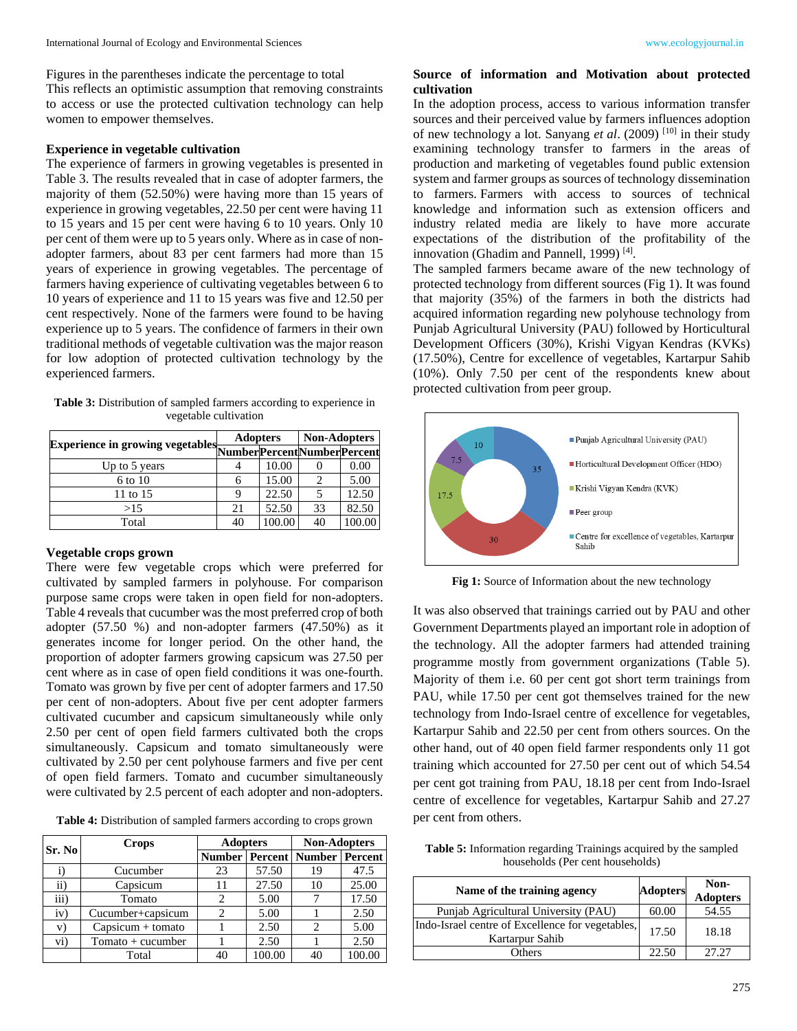Figures in the parentheses indicate the percentage to total This reflects an optimistic assumption that removing constraints to access or use the protected cultivation technology can help women to empower themselves.

### **Experience in vegetable cultivation**

The experience of farmers in growing vegetables is presented in Table 3. The results revealed that in case of adopter farmers, the majority of them (52.50%) were having more than 15 years of experience in growing vegetables, 22.50 per cent were having 11 to 15 years and 15 per cent were having 6 to 10 years. Only 10 per cent of them were up to 5 years only. Where as in case of nonadopter farmers, about 83 per cent farmers had more than 15 years of experience in growing vegetables. The percentage of farmers having experience of cultivating vegetables between 6 to 10 years of experience and 11 to 15 years was five and 12.50 per cent respectively. None of the farmers were found to be having experience up to 5 years. The confidence of farmers in their own traditional methods of vegetable cultivation was the major reason for low adoption of protected cultivation technology by the experienced farmers.

**Table 3:** Distribution of sampled farmers according to experience in vegetable cultivation

|                                                                | <b>Adopters</b> |        | <b>Non-Adopters</b> |        |
|----------------------------------------------------------------|-----------------|--------|---------------------|--------|
| Experience in growing vegetables Number Percent Number Percent |                 |        |                     |        |
| Up to 5 years                                                  |                 | 10.00  |                     | 0.00   |
| 6 to 10                                                        | 6               | 15.00  |                     | 5.00   |
| 11 to 15                                                       | Q               | 22.50  |                     | 12.50  |
| >15                                                            | 21              | 52.50  | 33                  | 82.50  |
| Total                                                          | 40              | 100.00 | 40                  | 100.00 |

### **Vegetable crops grown**

There were few vegetable crops which were preferred for cultivated by sampled farmers in polyhouse. For comparison purpose same crops were taken in open field for non-adopters. Table 4 reveals that cucumber was the most preferred crop of both adopter (57.50 %) and non-adopter farmers (47.50%) as it generates income for longer period. On the other hand, the proportion of adopter farmers growing capsicum was 27.50 per cent where as in case of open field conditions it was one-fourth. Tomato was grown by five per cent of adopter farmers and 17.50 per cent of non-adopters. About five per cent adopter farmers cultivated cucumber and capsicum simultaneously while only 2.50 per cent of open field farmers cultivated both the crops simultaneously. Capsicum and tomato simultaneously were cultivated by 2.50 per cent polyhouse farmers and five per cent of open field farmers. Tomato and cucumber simultaneously were cultivated by 2.5 percent of each adopter and non-adopters.

**Table 4:** Distribution of sampled farmers according to crops grown

|           | <b>Crops</b>        | <b>Adopters</b>           |        | <b>Non-Adopters</b>     |        |  |
|-----------|---------------------|---------------------------|--------|-------------------------|--------|--|
| Sr. No    |                     | <b>Number   Percent  </b> |        | <b>Number   Percent</b> |        |  |
|           | Cucumber            | 23                        | 57.50  | 19                      | 47.5   |  |
| ii)       | Capsicum            | 11                        | 27.50  | 10                      | 25.00  |  |
| iii)      | Tomato              |                           | 5.00   |                         | 17.50  |  |
| iv)       | Cucumber+capsicum   |                           | 5.00   |                         | 2.50   |  |
| V)        | $Capsicum + tomato$ |                           | 2.50   | 2                       | 5.00   |  |
| $\rm vi)$ | $Tomato + cucumber$ |                           | 2.50   |                         | 2.50   |  |
|           | Total               | 40                        | 100.00 | 40                      | 100.00 |  |

### **Source of information and Motivation about protected cultivation**

In the adoption process, access to various information transfer sources and their perceived value by farmers influences adoption of new technology a lot. Sanyang *et al*. (2009) [10] in their study examining technology transfer to farmers in the areas of production and marketing of vegetables found public extension system and farmer groups as sources of technology dissemination to farmers. Farmers with access to sources of technical knowledge and information such as extension officers and industry related media are likely to have more accurate expectations of the distribution of the profitability of the innovation (Ghadim and Pannell, 1999)<sup>[4]</sup>.

The sampled farmers became aware of the new technology of protected technology from different sources (Fig 1). It was found that majority (35%) of the farmers in both the districts had acquired information regarding new polyhouse technology from Punjab Agricultural University (PAU) followed by Horticultural Development Officers (30%), Krishi Vigyan Kendras (KVKs) (17.50%), Centre for excellence of vegetables, Kartarpur Sahib (10%). Only 7.50 per cent of the respondents knew about protected cultivation from peer group.



Fig 1: Source of Information about the new technology

It was also observed that trainings carried out by PAU and other Government Departments played an important role in adoption of the technology. All the adopter farmers had attended training programme mostly from government organizations (Table 5). Majority of them i.e. 60 per cent got short term trainings from PAU, while 17.50 per cent got themselves trained for the new technology from Indo-Israel centre of excellence for vegetables, Kartarpur Sahib and 22.50 per cent from others sources. On the other hand, out of 40 open field farmer respondents only 11 got training which accounted for 27.50 per cent out of which 54.54 per cent got training from PAU, 18.18 per cent from Indo-Israel centre of excellence for vegetables, Kartarpur Sahib and 27.27 per cent from others.

| <b>Table 5:</b> Information regarding Trainings acquired by the sampled |
|-------------------------------------------------------------------------|
| households (Per cent households)                                        |

| Name of the training agency                                         | <b>Adopters</b> | Non-<br><b>Adopters</b> |
|---------------------------------------------------------------------|-----------------|-------------------------|
| Punjab Agricultural University (PAU)                                | 60.00           | 54.55                   |
| Indo-Israel centre of Excellence for vegetables,<br>Kartarpur Sahib | 17.50           | 18.18                   |
| Others                                                              | 22.50           | 27.27                   |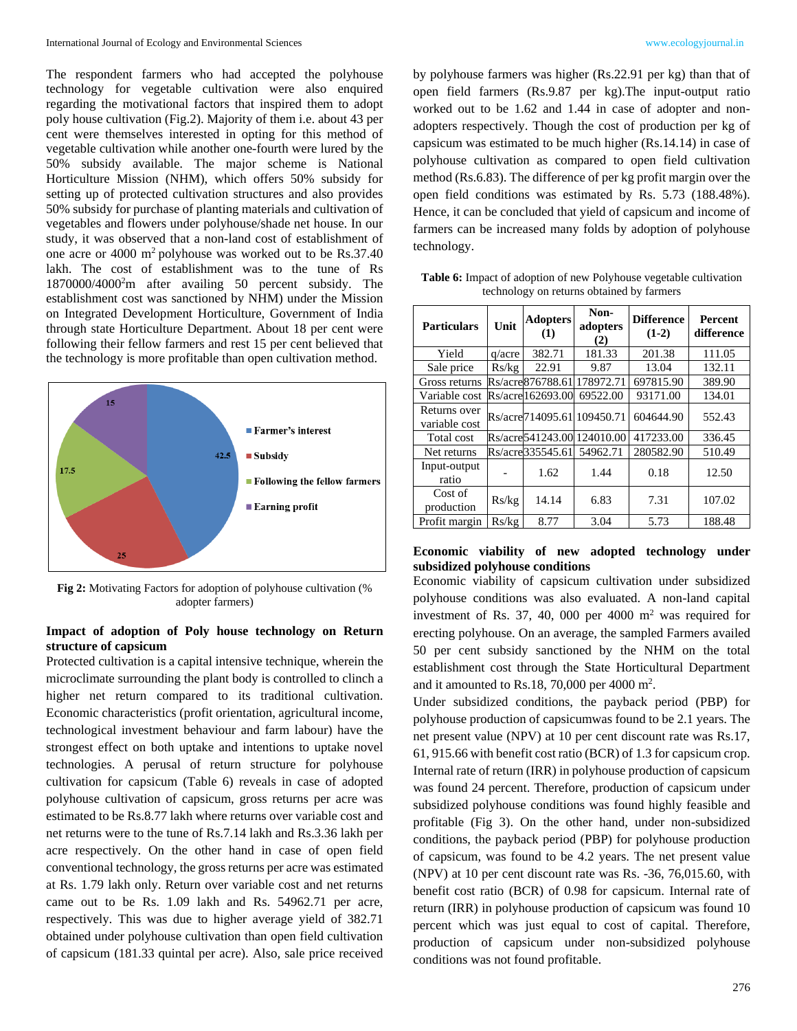The respondent farmers who had accepted the polyhouse technology for vegetable cultivation were also enquired regarding the motivational factors that inspired them to adopt poly house cultivation (Fig.2). Majority of them i.e. about 43 per cent were themselves interested in opting for this method of vegetable cultivation while another one-fourth were lured by the 50% subsidy available. The major scheme is National Horticulture Mission (NHM), which offers 50% subsidy for setting up of protected cultivation structures and also provides 50% subsidy for purchase of planting materials and cultivation of vegetables and flowers under polyhouse/shade net house. In our study, it was observed that a non-land cost of establishment of one acre or  $4000 \text{ m}^2$  polyhouse was worked out to be Rs.37.40 lakh. The cost of establishment was to the tune of Rs 1870000/4000<sup>2</sup>m after availing 50 percent subsidy. The establishment cost was sanctioned by NHM) under the Mission on Integrated Development Horticulture, Government of India through state Horticulture Department. About 18 per cent were following their fellow farmers and rest 15 per cent believed that the technology is more profitable than open cultivation method.



**Fig 2:** Motivating Factors for adoption of polyhouse cultivation (% adopter farmers)

### **Impact of adoption of Poly house technology on Return structure of capsicum**

Protected cultivation is a capital intensive technique, wherein the microclimate surrounding the plant body is controlled to clinch a higher net return compared to its traditional cultivation. Economic characteristics (profit orientation, agricultural income, technological investment behaviour and farm labour) have the strongest effect on both uptake and intentions to uptake novel technologies. A perusal of return structure for polyhouse cultivation for capsicum (Table 6) reveals in case of adopted polyhouse cultivation of capsicum, gross returns per acre was estimated to be Rs.8.77 lakh where returns over variable cost and net returns were to the tune of Rs.7.14 lakh and Rs.3.36 lakh per acre respectively. On the other hand in case of open field conventional technology, the gross returns per acre was estimated at Rs. 1.79 lakh only. Return over variable cost and net returns came out to be Rs. 1.09 lakh and Rs. 54962.71 per acre, respectively. This was due to higher average yield of 382.71 obtained under polyhouse cultivation than open field cultivation of capsicum (181.33 quintal per acre). Also, sale price received

by polyhouse farmers was higher (Rs.22.91 per kg) than that of open field farmers (Rs.9.87 per kg).The input-output ratio worked out to be 1.62 and 1.44 in case of adopter and nonadopters respectively. Though the cost of production per kg of capsicum was estimated to be much higher (Rs.14.14) in case of polyhouse cultivation as compared to open field cultivation method (Rs.6.83). The difference of per kg profit margin over the open field conditions was estimated by Rs. 5.73 (188.48%). Hence, it can be concluded that yield of capsicum and income of farmers can be increased many folds by adoption of polyhouse technology.

| <b>Particulars</b>            | Unit   | <b>Adopters</b><br>(1) | Non-<br>adopters<br>(2)    | <b>Difference</b><br>$(1-2)$ | <b>Percent</b><br>difference |
|-------------------------------|--------|------------------------|----------------------------|------------------------------|------------------------------|
| Yield                         | q/acre | 382.71                 | 181.33                     | 201.38                       | 111.05                       |
| Sale price                    | Rs/kg  | 22.91                  | 9.87                       | 13.04                        | 132.11                       |
| Gross returns                 |        | Rs/acre876788.61       | 178972.71                  | 697815.90                    | 389.90                       |
| Variable cost                 |        | Rs/acre162693.00       | 69522.00                   | 93171.00                     | 134.01                       |
| Returns over<br>variable cost |        |                        | Rs/acre714095.61 109450.71 | 604644.90                    | 552.43                       |
| Total cost                    |        | Rs/acre541243.00       | 124010.00                  | 417233.00                    | 336.45                       |
| Net returns                   |        | Rs/acre335545.61       | 54962.71                   | 280582.90                    | 510.49                       |
| Input-output<br>ratio         |        | 1.62                   | 1.44                       | 0.18                         | 12.50                        |
| Cost of<br>production         | Rs/kg  | 14.14                  | 6.83                       | 7.31                         | 107.02                       |
| Profit margin                 | Rs/kg  | 8.77                   | 3.04                       | 5.73                         | 188.48                       |

**Table 6:** Impact of adoption of new Polyhouse vegetable cultivation technology on returns obtained by farmers

### **Economic viability of new adopted technology under subsidized polyhouse conditions**

Economic viability of capsicum cultivation under subsidized polyhouse conditions was also evaluated. A non-land capital investment of Rs. 37, 40, 000 per 4000  $m<sup>2</sup>$  was required for erecting polyhouse. On an average, the sampled Farmers availed 50 per cent subsidy sanctioned by the NHM on the total establishment cost through the State Horticultural Department and it amounted to Rs.18, 70,000 per 4000  $m^2$ .

Under subsidized conditions, the payback period (PBP) for polyhouse production of capsicumwas found to be 2.1 years. The net present value (NPV) at 10 per cent discount rate was Rs.17, 61, 915.66 with benefit cost ratio (BCR) of 1.3 for capsicum crop. Internal rate of return (IRR) in polyhouse production of capsicum was found 24 percent. Therefore, production of capsicum under subsidized polyhouse conditions was found highly feasible and profitable (Fig 3). On the other hand, under non-subsidized conditions, the payback period (PBP) for polyhouse production of capsicum, was found to be 4.2 years. The net present value (NPV) at 10 per cent discount rate was Rs. -36, 76,015.60, with benefit cost ratio (BCR) of 0.98 for capsicum. Internal rate of return (IRR) in polyhouse production of capsicum was found 10 percent which was just equal to cost of capital. Therefore, production of capsicum under non-subsidized polyhouse conditions was not found profitable.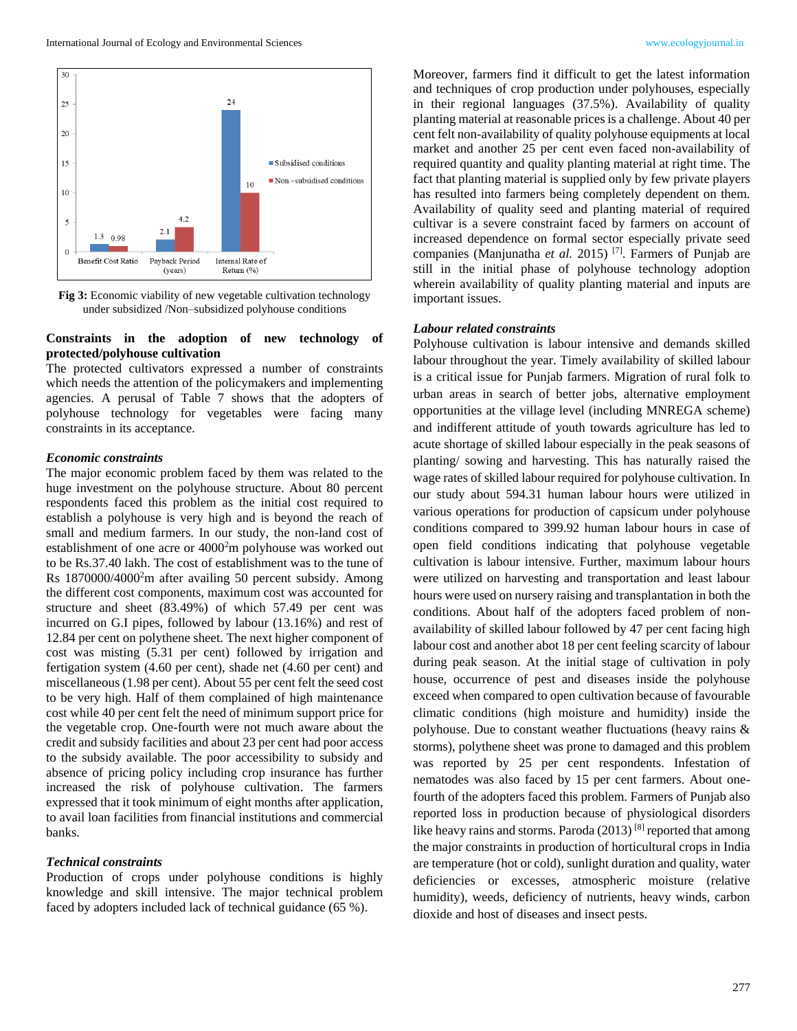

**Fig 3:** Economic viability of new vegetable cultivation technology under subsidized /Non–subsidized polyhouse conditions

### **Constraints in the adoption of new technology of protected/polyhouse cultivation**

The protected cultivators expressed a number of constraints which needs the attention of the policymakers and implementing agencies. A perusal of Table 7 shows that the adopters of polyhouse technology for vegetables were facing many constraints in its acceptance.

#### *Economic constraints*

The major economic problem faced by them was related to the huge investment on the polyhouse structure. About 80 percent respondents faced this problem as the initial cost required to establish a polyhouse is very high and is beyond the reach of small and medium farmers. In our study, the non-land cost of establishment of one acre or 4000<sup>2</sup>m polyhouse was worked out to be Rs.37.40 lakh. The cost of establishment was to the tune of Rs 1870000/4000<sup>2</sup>m after availing 50 percent subsidy. Among the different cost components, maximum cost was accounted for structure and sheet (83.49%) of which 57.49 per cent was incurred on G.I pipes, followed by labour (13.16%) and rest of 12.84 per cent on polythene sheet. The next higher component of cost was misting (5.31 per cent) followed by irrigation and fertigation system (4.60 per cent), shade net (4.60 per cent) and miscellaneous (1.98 per cent). About 55 per cent felt the seed cost to be very high. Half of them complained of high maintenance cost while 40 per cent felt the need of minimum support price for the vegetable crop. One-fourth were not much aware about the credit and subsidy facilities and about 23 per cent had poor access to the subsidy available. The poor accessibility to subsidy and absence of pricing policy including crop insurance has further increased the risk of polyhouse cultivation. The farmers expressed that it took minimum of eight months after application, to avail loan facilities from financial institutions and commercial banks.

#### *Technical constraints*

Production of crops under polyhouse conditions is highly knowledge and skill intensive. The major technical problem faced by adopters included lack of technical guidance (65 %).

Moreover, farmers find it difficult to get the latest information and techniques of crop production under polyhouses, especially in their regional languages (37.5%). Availability of quality planting material at reasonable prices is a challenge. About 40 per cent felt non-availability of quality polyhouse equipments at local market and another 25 per cent even faced non-availability of required quantity and quality planting material at right time. The fact that planting material is supplied only by few private players has resulted into farmers being completely dependent on them. Availability of quality seed and planting material of required cultivar is a severe constraint faced by farmers on account of increased dependence on formal sector especially private seed companies (Manjunatha *et al.* 2015) [7] . Farmers of Punjab are still in the initial phase of polyhouse technology adoption wherein availability of quality planting material and inputs are important issues.

#### *Labour related constraints*

Polyhouse cultivation is labour intensive and demands skilled labour throughout the year. Timely availability of skilled labour is a critical issue for Punjab farmers. Migration of rural folk to urban areas in search of better jobs, alternative employment opportunities at the village level (including MNREGA scheme) and indifferent attitude of youth towards agriculture has led to acute shortage of skilled labour especially in the peak seasons of planting/ sowing and harvesting. This has naturally raised the wage rates of skilled labour required for polyhouse cultivation. In our study about 594.31 human labour hours were utilized in various operations for production of capsicum under polyhouse conditions compared to 399.92 human labour hours in case of open field conditions indicating that polyhouse vegetable cultivation is labour intensive. Further, maximum labour hours were utilized on harvesting and transportation and least labour hours were used on nursery raising and transplantation in both the conditions. About half of the adopters faced problem of nonavailability of skilled labour followed by 47 per cent facing high labour cost and another abot 18 per cent feeling scarcity of labour during peak season. At the initial stage of cultivation in poly house, occurrence of pest and diseases inside the polyhouse exceed when compared to open cultivation because of favourable climatic conditions (high moisture and humidity) inside the polyhouse. Due to constant weather fluctuations (heavy rains & storms), polythene sheet was prone to damaged and this problem was reported by 25 per cent respondents. Infestation of nematodes was also faced by 15 per cent farmers. About onefourth of the adopters faced this problem. Farmers of Punjab also reported loss in production because of physiological disorders like heavy rains and storms. Paroda (2013)<sup>[8]</sup> reported that among the major constraints in production of horticultural crops in India are temperature (hot or cold), sunlight duration and quality, water deficiencies or excesses, atmospheric moisture (relative humidity), weeds, deficiency of nutrients, heavy winds, carbon dioxide and host of diseases and insect pests.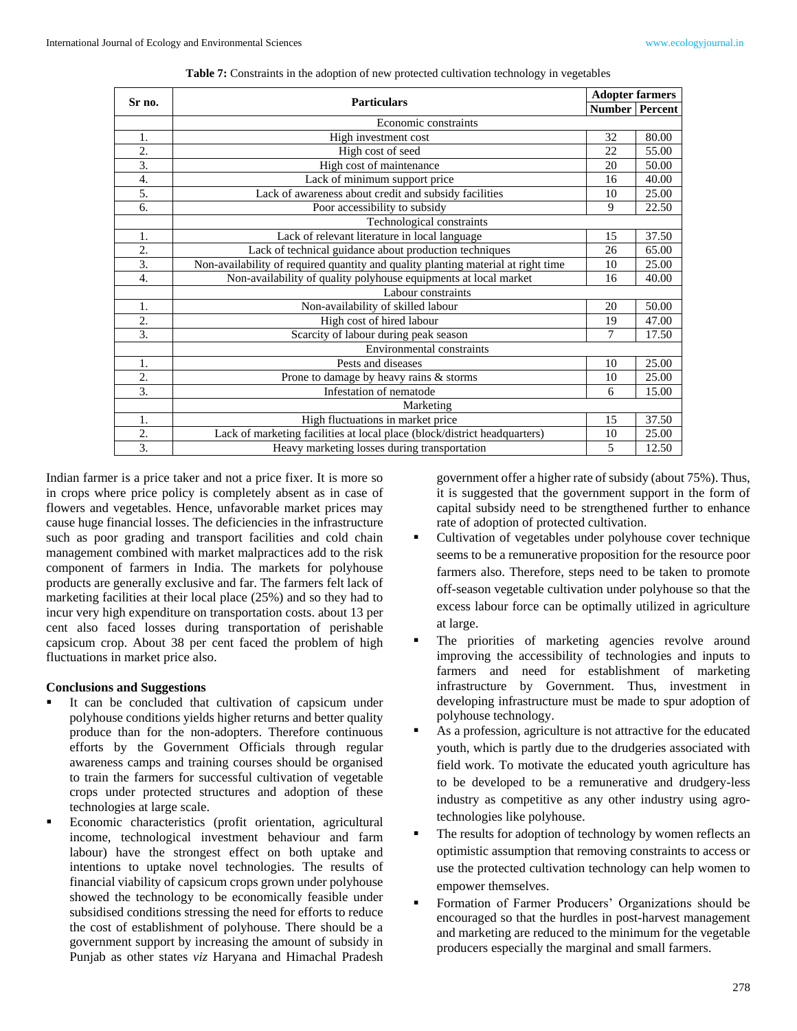| Sr no.           | <b>Particulars</b>                                                                |    | <b>Adopter farmers</b>  |  |  |  |
|------------------|-----------------------------------------------------------------------------------|----|-------------------------|--|--|--|
|                  |                                                                                   |    | <b>Number   Percent</b> |  |  |  |
|                  | Economic constraints                                                              |    |                         |  |  |  |
| 1.               | High investment cost                                                              | 32 | 80.00                   |  |  |  |
| 2.               | High cost of seed                                                                 | 22 | 55.00                   |  |  |  |
| 3.               | High cost of maintenance                                                          | 20 | 50.00                   |  |  |  |
| 4.               | Lack of minimum support price                                                     | 16 | 40.00                   |  |  |  |
| 5.               | Lack of awareness about credit and subsidy facilities                             | 10 | 25.00                   |  |  |  |
| 6.               | Poor accessibility to subsidy                                                     | 9  | 22.50                   |  |  |  |
|                  | Technological constraints                                                         |    |                         |  |  |  |
| 1.               | Lack of relevant literature in local language                                     | 15 | 37.50                   |  |  |  |
| $\overline{2}$ . | Lack of technical guidance about production techniques                            | 26 | 65.00                   |  |  |  |
| 3.               | Non-availability of required quantity and quality planting material at right time | 10 | 25.00                   |  |  |  |
| 4.               | Non-availability of quality polyhouse equipments at local market                  | 16 | 40.00                   |  |  |  |
|                  | Labour constraints                                                                |    |                         |  |  |  |
| 1.               | Non-availability of skilled labour                                                | 20 | 50.00                   |  |  |  |
| 2.               | High cost of hired labour                                                         | 19 | 47.00                   |  |  |  |
| 3.               | Scarcity of labour during peak season                                             | 7  | 17.50                   |  |  |  |
|                  | Environmental constraints                                                         |    |                         |  |  |  |
| 1.               | Pests and diseases                                                                | 10 | 25.00                   |  |  |  |
| 2.               | Prone to damage by heavy rains & storms                                           | 10 | 25.00                   |  |  |  |
| 3.               | Infestation of nematode                                                           | 6  | 15.00                   |  |  |  |
|                  | Marketing                                                                         |    |                         |  |  |  |
| 1.               | High fluctuations in market price                                                 | 15 | 37.50                   |  |  |  |
| 2.               | Lack of marketing facilities at local place (block/district headquarters)         | 10 | 25.00                   |  |  |  |
| 3.               | Heavy marketing losses during transportation                                      | 5  | 12.50                   |  |  |  |

**Table 7:** Constraints in the adoption of new protected cultivation technology in vegetables

Indian farmer is a price taker and not a price fixer. It is more so in crops where price policy is completely absent as in case of flowers and vegetables. Hence, unfavorable market prices may cause huge financial losses. The deficiencies in the infrastructure such as poor grading and transport facilities and cold chain management combined with market malpractices add to the risk component of farmers in India. The markets for polyhouse products are generally exclusive and far. The farmers felt lack of marketing facilities at their local place (25%) and so they had to incur very high expenditure on transportation costs. about 13 per cent also faced losses during transportation of perishable capsicum crop. About 38 per cent faced the problem of high fluctuations in market price also.

#### **Conclusions and Suggestions**

- It can be concluded that cultivation of capsicum under polyhouse conditions yields higher returns and better quality produce than for the non-adopters. Therefore continuous efforts by the Government Officials through regular awareness camps and training courses should be organised to train the farmers for successful cultivation of vegetable crops under protected structures and adoption of these technologies at large scale.
- Economic characteristics (profit orientation, agricultural income, technological investment behaviour and farm labour) have the strongest effect on both uptake and intentions to uptake novel technologies. The results of financial viability of capsicum crops grown under polyhouse showed the technology to be economically feasible under subsidised conditions stressing the need for efforts to reduce the cost of establishment of polyhouse. There should be a government support by increasing the amount of subsidy in Punjab as other states *viz* Haryana and Himachal Pradesh

government offer a higher rate of subsidy (about 75%). Thus, it is suggested that the government support in the form of capital subsidy need to be strengthened further to enhance rate of adoption of protected cultivation.

- Cultivation of vegetables under polyhouse cover technique seems to be a remunerative proposition for the resource poor farmers also. Therefore, steps need to be taken to promote off-season vegetable cultivation under polyhouse so that the excess labour force can be optimally utilized in agriculture at large.
- The priorities of marketing agencies revolve around improving the accessibility of technologies and inputs to farmers and need for establishment of marketing infrastructure by Government. Thus, investment in developing infrastructure must be made to spur adoption of polyhouse technology.
- As a profession, agriculture is not attractive for the educated youth, which is partly due to the drudgeries associated with field work. To motivate the educated youth agriculture has to be developed to be a remunerative and drudgery-less industry as competitive as any other industry using agrotechnologies like polyhouse.
- The results for adoption of technology by women reflects an optimistic assumption that removing constraints to access or use the protected cultivation technology can help women to empower themselves.
- Formation of Farmer Producers' Organizations should be encouraged so that the hurdles in post-harvest management and marketing are reduced to the minimum for the vegetable producers especially the marginal and small farmers.